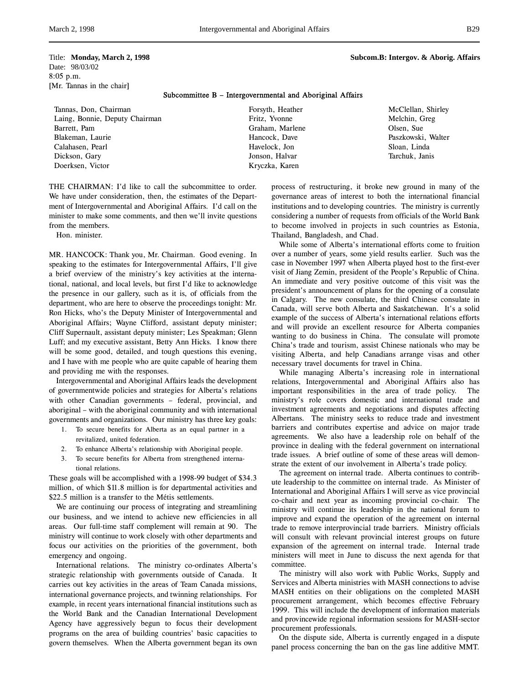Date: 98/03/02 8:05 p.m. [Mr. Tannas in the chair]

## Subcommittee B – Intergovernmental and Aboriginal Affairs

Tannas, Don, Chairman Laing, Bonnie, Deputy Chairman Barrett, Pam Blakeman, Laurie Calahasen, Pearl Dickson, Gary Doerksen, Victor

Forsyth, Heather Fritz, Yvonne Graham, Marlene Hancock, Dave Havelock, Jon Jonson, Halvar Kryczka, Karen

McClellan, Shirley Melchin, Greg Olsen, Sue Paszkowski, Walter Sloan, Linda Tarchuk, Janis

THE CHAIRMAN: I'd like to call the subcommittee to order. We have under consideration, then, the estimates of the Department of Intergovernmental and Aboriginal Affairs. I'd call on the minister to make some comments, and then we'll invite questions from the members.

Hon. minister.

MR. HANCOCK: Thank you, Mr. Chairman. Good evening. In speaking to the estimates for Intergovernmental Affairs, I'll give a brief overview of the ministry's key activities at the international, national, and local levels, but first I'd like to acknowledge the presence in our gallery, such as it is, of officials from the department, who are here to observe the proceedings tonight: Mr. Ron Hicks, who's the Deputy Minister of Intergovernmental and Aboriginal Affairs; Wayne Clifford, assistant deputy minister; Cliff Supernault, assistant deputy minister; Les Speakman; Glenn Luff; and my executive assistant, Betty Ann Hicks. I know there will be some good, detailed, and tough questions this evening, and I have with me people who are quite capable of hearing them and providing me with the responses.

Intergovernmental and Aboriginal Affairs leads the development of governmentwide policies and strategies for Alberta's relations with other Canadian governments – federal, provincial, and aboriginal – with the aboriginal community and with international governments and organizations. Our ministry has three key goals:

- 1. To secure benefits for Alberta as an equal partner in a revitalized, united federation.
- 2. To enhance Alberta's relationship with Aboriginal people.
- 3. To secure benefits for Alberta from strengthened international relations.

These goals will be accomplished with a 1998-99 budget of \$34.3 million, of which \$11.8 million is for departmental activities and \$22.5 million is a transfer to the Métis settlements.

We are continuing our process of integrating and streamlining our business, and we intend to achieve new efficiencies in all areas. Our full-time staff complement will remain at 90. The ministry will continue to work closely with other departments and focus our activities on the priorities of the government, both emergency and ongoing.

International relations. The ministry co-ordinates Alberta's strategic relationship with governments outside of Canada. It carries out key activities in the areas of Team Canada missions, international governance projects, and twinning relationships. For example, in recent years international financial institutions such as the World Bank and the Canadian International Development Agency have aggressively begun to focus their development programs on the area of building countries' basic capacities to govern themselves. When the Alberta government began its own

process of restructuring, it broke new ground in many of the governance areas of interest to both the international financial institutions and to developing countries. The ministry is currently considering a number of requests from officials of the World Bank to become involved in projects in such countries as Estonia, Thailand, Bangladesh, and Chad.

While some of Alberta's international efforts come to fruition over a number of years, some yield results earlier. Such was the case in November 1997 when Alberta played host to the first-ever visit of Jiang Zemin, president of the People's Republic of China. An immediate and very positive outcome of this visit was the president's announcement of plans for the opening of a consulate in Calgary. The new consulate, the third Chinese consulate in Canada, will serve both Alberta and Saskatchewan. It's a solid example of the success of Alberta's international relations efforts and will provide an excellent resource for Alberta companies wanting to do business in China. The consulate will promote China's trade and tourism, assist Chinese nationals who may be visiting Alberta, and help Canadians arrange visas and other necessary travel documents for travel in China.

While managing Alberta's increasing role in international relations, Intergovernmental and Aboriginal Affairs also has important responsibilities in the area of trade policy. The ministry's role covers domestic and international trade and investment agreements and negotiations and disputes affecting Albertans. The ministry seeks to reduce trade and investment barriers and contributes expertise and advice on major trade agreements. We also have a leadership role on behalf of the province in dealing with the federal government on international trade issues. A brief outline of some of these areas will demonstrate the extent of our involvement in Alberta's trade policy.

The agreement on internal trade. Alberta continues to contribute leadership to the committee on internal trade. As Minister of International and Aboriginal Affairs I will serve as vice provincial co-chair and next year as incoming provincial co-chair. The ministry will continue its leadership in the national forum to improve and expand the operation of the agreement on internal trade to remove interprovincial trade barriers. Ministry officials will consult with relevant provincial interest groups on future expansion of the agreement on internal trade. Internal trade ministers will meet in June to discuss the next agenda for that committee.

The ministry will also work with Public Works, Supply and Services and Alberta ministries with MASH connections to advise MASH entities on their obligations on the completed MASH procurement arrangement, which becomes effective February 1999. This will include the development of information materials and provincewide regional information sessions for MASH-sector procurement professionals.

On the dispute side, Alberta is currently engaged in a dispute panel process concerning the ban on the gas line additive MMT.

# Title: **Monday, March 2, 1998 Subcom.B: Intergov. & Aborig. Affairs**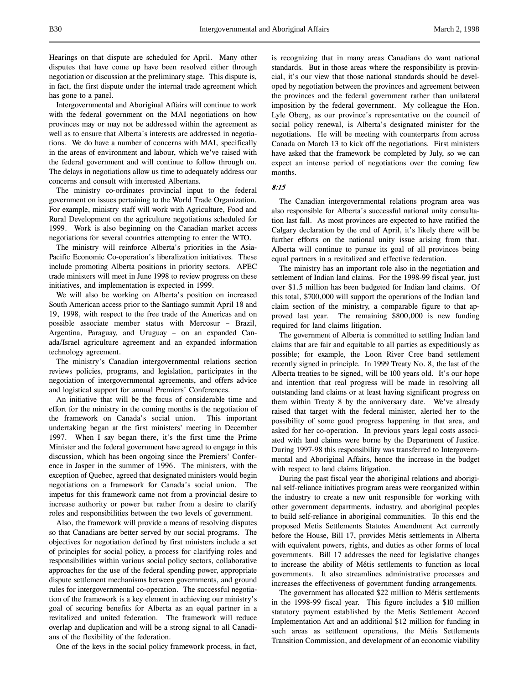Hearings on that dispute are scheduled for April. Many other disputes that have come up have been resolved either through negotiation or discussion at the preliminary stage. This dispute is, in fact, the first dispute under the internal trade agreement which has gone to a panel.

Intergovernmental and Aboriginal Affairs will continue to work with the federal government on the MAI negotiations on how provinces may or may not be addressed within the agreement as well as to ensure that Alberta's interests are addressed in negotiations. We do have a number of concerns with MAI, specifically in the areas of environment and labour, which we've raised with the federal government and will continue to follow through on. The delays in negotiations allow us time to adequately address our concerns and consult with interested Albertans.

The ministry co-ordinates provincial input to the federal government on issues pertaining to the World Trade Organization. For example, ministry staff will work with Agriculture, Food and Rural Development on the agriculture negotiations scheduled for 1999. Work is also beginning on the Canadian market access negotiations for several countries attempting to enter the WTO.

The ministry will reinforce Alberta's priorities in the Asia-Pacific Economic Co-operation's liberalization initiatives. These include promoting Alberta positions in priority sectors. APEC trade ministers will meet in June 1998 to review progress on these initiatives, and implementation is expected in 1999.

We will also be working on Alberta's position on increased South American access prior to the Santiago summit April 18 and 19, 1998, with respect to the free trade of the Americas and on possible associate member status with Mercosur – Brazil, Argentina, Paraguay, and Uruguay – on an expanded Canada/Israel agriculture agreement and an expanded information technology agreement.

The ministry's Canadian intergovernmental relations section reviews policies, programs, and legislation, participates in the negotiation of intergovernmental agreements, and offers advice and logistical support for annual Premiers' Conferences.

An initiative that will be the focus of considerable time and effort for the ministry in the coming months is the negotiation of the framework on Canada's social union. This important undertaking began at the first ministers' meeting in December 1997. When I say began there, it's the first time the Prime Minister and the federal government have agreed to engage in this discussion, which has been ongoing since the Premiers' Conference in Jasper in the summer of 1996. The ministers, with the exception of Quebec, agreed that designated ministers would begin negotiations on a framework for Canada's social union. The impetus for this framework came not from a provincial desire to increase authority or power but rather from a desire to clarify roles and responsibilities between the two levels of government.

Also, the framework will provide a means of resolving disputes so that Canadians are better served by our social programs. The objectives for negotiation defined by first ministers include a set of principles for social policy, a process for clarifying roles and responsibilities within various social policy sectors, collaborative approaches for the use of the federal spending power, appropriate dispute settlement mechanisms between governments, and ground rules for intergovernmental co-operation. The successful negotiation of the framework is a key element in achieving our ministry's goal of securing benefits for Alberta as an equal partner in a revitalized and united federation. The framework will reduce overlap and duplication and will be a strong signal to all Canadians of the flexibility of the federation.

One of the keys in the social policy framework process, in fact,

is recognizing that in many areas Canadians do want national standards. But in those areas where the responsibility is provincial, it's our view that those national standards should be developed by negotiation between the provinces and agreement between the provinces and the federal government rather than unilateral imposition by the federal government. My colleague the Hon. Lyle Oberg, as our province's representative on the council of social policy renewal, is Alberta's designated minister for the negotiations. He will be meeting with counterparts from across Canada on March 13 to kick off the negotiations. First ministers have asked that the framework be completed by July, so we can expect an intense period of negotiations over the coming few months.

# 8:15

The Canadian intergovernmental relations program area was also responsible for Alberta's successful national unity consultation last fall. As most provinces are expected to have ratified the Calgary declaration by the end of April, it's likely there will be further efforts on the national unity issue arising from that. Alberta will continue to pursue its goal of all provinces being equal partners in a revitalized and effective federation.

The ministry has an important role also in the negotiation and settlement of Indian land claims. For the 1998-99 fiscal year, just over \$1.5 million has been budgeted for Indian land claims. Of this total, \$700,000 will support the operations of the Indian land claim section of the ministry, a comparable figure to that approved last year. The remaining \$800,000 is new funding required for land claims litigation.

The government of Alberta is committed to settling Indian land claims that are fair and equitable to all parties as expeditiously as possible; for example, the Loon River Cree band settlement recently signed in principle. In 1999 Treaty No. 8, the last of the Alberta treaties to be signed, will be 100 years old. It's our hope and intention that real progress will be made in resolving all outstanding land claims or at least having significant progress on them within Treaty 8 by the anniversary date. We've already raised that target with the federal minister, alerted her to the possibility of some good progress happening in that area, and asked for her co-operation. In previous years legal costs associated with land claims were borne by the Department of Justice. During 1997-98 this responsibility was transferred to Intergovernmental and Aboriginal Affairs, hence the increase in the budget with respect to land claims litigation.

During the past fiscal year the aboriginal relations and aboriginal self-reliance initiatives program areas were reorganized within the industry to create a new unit responsible for working with other government departments, industry, and aboriginal peoples to build self-reliance in aboriginal communities. To this end the proposed Metis Settlements Statutes Amendment Act currently before the House, Bill 17, provides Métis settlements in Alberta with equivalent powers, rights, and duties as other forms of local governments. Bill 17 addresses the need for legislative changes to increase the ability of Métis settlements to function as local governments. It also streamlines administrative processes and increases the effectiveness of government funding arrangements.

The government has allocated \$22 million to Métis settlements in the 1998-99 fiscal year. This figure includes a \$10 million statutory payment established by the Metis Settlement Accord Implementation Act and an additional \$12 million for funding in such areas as settlement operations, the Métis Settlements Transition Commission, and development of an economic viability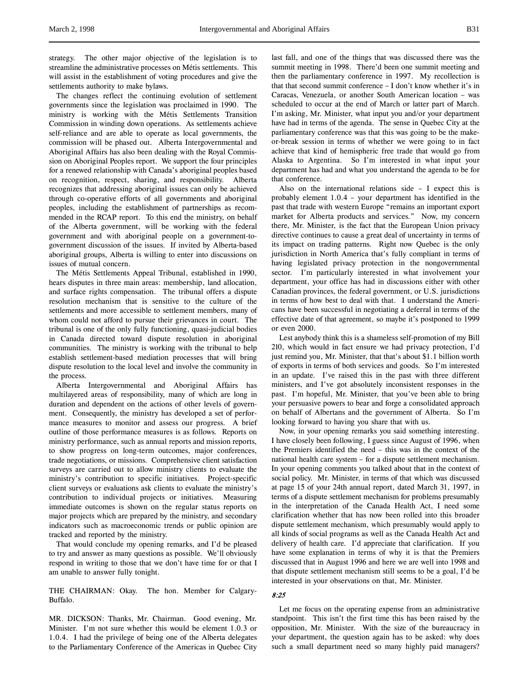strategy. The other major objective of the legislation is to streamline the administrative processes on Métis settlements. This will assist in the establishment of voting procedures and give the settlements authority to make bylaws.

The changes reflect the continuing evolution of settlement governments since the legislation was proclaimed in 1990. The ministry is working with the Métis Settlements Transition Commission in winding down operations. As settlements achieve self-reliance and are able to operate as local governments, the commission will be phased out. Alberta Intergovernmental and Aboriginal Affairs has also been dealing with the Royal Commission on Aboriginal Peoples report. We support the four principles for a renewed relationship with Canada's aboriginal peoples based on recognition, respect, sharing, and responsibility. Alberta recognizes that addressing aboriginal issues can only be achieved through co-operative efforts of all governments and aboriginal peoples, including the establishment of partnerships as recommended in the RCAP report. To this end the ministry, on behalf of the Alberta government, will be working with the federal government and with aboriginal people on a government-togovernment discussion of the issues. If invited by Alberta-based aboriginal groups, Alberta is willing to enter into discussions on issues of mutual concern.

The Métis Settlements Appeal Tribunal, established in 1990, hears disputes in three main areas: membership, land allocation, and surface rights compensation. The tribunal offers a dispute resolution mechanism that is sensitive to the culture of the settlements and more accessible to settlement members, many of whom could not afford to pursue their grievances in court. The tribunal is one of the only fully functioning, quasi-judicial bodies in Canada directed toward dispute resolution in aboriginal communities. The ministry is working with the tribunal to help establish settlement-based mediation processes that will bring dispute resolution to the local level and involve the community in the process.

Alberta Intergovernmental and Aboriginal Affairs has multilayered areas of responsibility, many of which are long in duration and dependent on the actions of other levels of government. Consequently, the ministry has developed a set of performance measures to monitor and assess our progress. A brief outline of those performance measures is as follows. Reports on ministry performance, such as annual reports and mission reports, to show progress on long-term outcomes, major conferences, trade negotiations, or missions. Comprehensive client satisfaction surveys are carried out to allow ministry clients to evaluate the ministry's contribution to specific initiatives. Project-specific client surveys or evaluations ask clients to evaluate the ministry's contribution to individual projects or initiatives. Measuring immediate outcomes is shown on the regular status reports on major projects which are prepared by the ministry, and secondary indicators such as macroeconomic trends or public opinion are tracked and reported by the ministry.

That would conclude my opening remarks, and I'd be pleased to try and answer as many questions as possible. We'll obviously respond in writing to those that we don't have time for or that I am unable to answer fully tonight.

THE CHAIRMAN: Okay. The hon. Member for Calgary-Buffalo.

MR. DICKSON: Thanks, Mr. Chairman. Good evening, Mr. Minister. I'm not sure whether this would be element 1.0.3 or 1.0.4. I had the privilege of being one of the Alberta delegates to the Parliamentary Conference of the Americas in Quebec City

last fall, and one of the things that was discussed there was the summit meeting in 1998. There'd been one summit meeting and then the parliamentary conference in 1997. My recollection is that that second summit conference – I don't know whether it's in Caracas, Venezuela, or another South American location – was scheduled to occur at the end of March or latter part of March. I'm asking, Mr. Minister, what input you and/or your department have had in terms of the agenda. The sense in Quebec City at the parliamentary conference was that this was going to be the makeor-break session in terms of whether we were going to in fact achieve that kind of hemispheric free trade that would go from Alaska to Argentina. So I'm interested in what input your department has had and what you understand the agenda to be for that conference.

Also on the international relations side – I expect this is probably element 1.0.4 – your department has identified in the past that trade with western Europe "remains an important export market for Alberta products and services." Now, my concern there, Mr. Minister, is the fact that the European Union privacy directive continues to cause a great deal of uncertainty in terms of its impact on trading patterns. Right now Quebec is the only jurisdiction in North America that's fully compliant in terms of having legislated privacy protection in the nongovernmental sector. I'm particularly interested in what involvement your department, your office has had in discussions either with other Canadian provinces, the federal government, or U.S. jurisdictions in terms of how best to deal with that. I understand the Americans have been successful in negotiating a deferral in terms of the effective date of that agreement, so maybe it's postponed to 1999 or even 2000.

Lest anybody think this is a shameless self-promotion of my Bill 210, which would in fact ensure we had privacy protection, I'd just remind you, Mr. Minister, that that's about \$1.1 billion worth of exports in terms of both services and goods. So I'm interested in an update. I've raised this in the past with three different ministers, and I've got absolutely inconsistent responses in the past. I'm hopeful, Mr. Minister, that you've been able to bring your persuasive powers to bear and forge a consolidated approach on behalf of Albertans and the government of Alberta. So I'm looking forward to having you share that with us.

Now, in your opening remarks you said something interesting. I have closely been following, I guess since August of 1996, when the Premiers identified the need – this was in the context of the national health care system – for a dispute settlement mechanism. In your opening comments you talked about that in the context of social policy. Mr. Minister, in terms of that which was discussed at page 15 of your 24th annual report, dated March 31, 1997, in terms of a dispute settlement mechanism for problems presumably in the interpretation of the Canada Health Act, I need some clarification whether that has now been rolled into this broader dispute settlement mechanism, which presumably would apply to all kinds of social programs as well as the Canada Health Act and delivery of health care. I'd appreciate that clarification. If you have some explanation in terms of why it is that the Premiers discussed that in August 1996 and here we are well into 1998 and that dispute settlement mechanism still seems to be a goal, I'd be interested in your observations on that, Mr. Minister.

### 8:25

Let me focus on the operating expense from an administrative standpoint. This isn't the first time this has been raised by the opposition, Mr. Minister. With the size of the bureaucracy in your department, the question again has to be asked: why does such a small department need so many highly paid managers?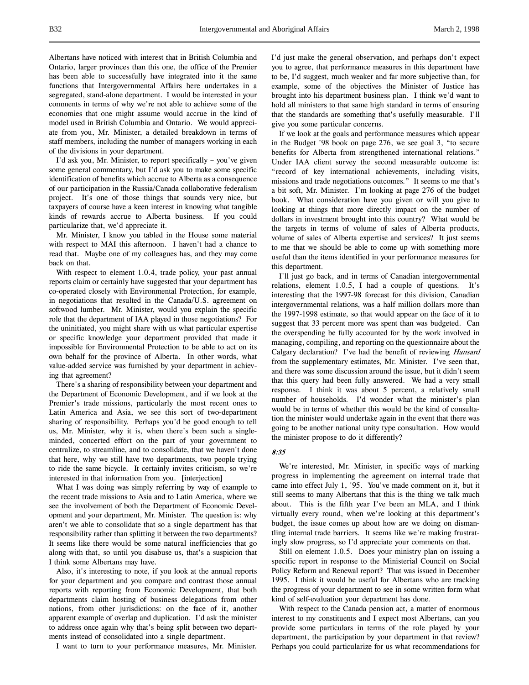Albertans have noticed with interest that in British Columbia and Ontario, larger provinces than this one, the office of the Premier has been able to successfully have integrated into it the same functions that Intergovernmental Affairs here undertakes in a segregated, stand-alone department. I would be interested in your comments in terms of why we're not able to achieve some of the economies that one might assume would accrue in the kind of model used in British Columbia and Ontario. We would appreciate from you, Mr. Minister, a detailed breakdown in terms of staff members, including the number of managers working in each of the divisions in your department.

I'd ask you, Mr. Minister, to report specifically – you've given some general commentary, but I'd ask you to make some specific identification of benefits which accrue to Alberta as a consequence of our participation in the Russia/Canada collaborative federalism project. It's one of those things that sounds very nice, but taxpayers of course have a keen interest in knowing what tangible kinds of rewards accrue to Alberta business. If you could particularize that, we'd appreciate it.

Mr. Minister, I know you tabled in the House some material with respect to MAI this afternoon. I haven't had a chance to read that. Maybe one of my colleagues has, and they may come back on that.

With respect to element 1.0.4, trade policy, your past annual reports claim or certainly have suggested that your department has co-operated closely with Environmental Protection, for example, in negotiations that resulted in the Canada/U.S. agreement on softwood lumber. Mr. Minister, would you explain the specific role that the department of IAA played in those negotiations? For the uninitiated, you might share with us what particular expertise or specific knowledge your department provided that made it impossible for Environmental Protection to be able to act on its own behalf for the province of Alberta. In other words, what value-added service was furnished by your department in achieving that agreement?

There's a sharing of responsibility between your department and the Department of Economic Development, and if we look at the Premier's trade missions, particularly the most recent ones to Latin America and Asia, we see this sort of two-department sharing of responsibility. Perhaps you'd be good enough to tell us, Mr. Minister, why it is, when there's been such a singleminded, concerted effort on the part of your government to centralize, to streamline, and to consolidate, that we haven't done that here, why we still have two departments, two people trying to ride the same bicycle. It certainly invites criticism, so we're interested in that information from you. [interjection]

What I was doing was simply referring by way of example to the recent trade missions to Asia and to Latin America, where we see the involvement of both the Department of Economic Development and your department, Mr. Minister. The question is: why aren't we able to consolidate that so a single department has that responsibility rather than splitting it between the two departments? It seems like there would be some natural inefficiencies that go along with that, so until you disabuse us, that's a suspicion that I think some Albertans may have.

Also, it's interesting to note, if you look at the annual reports for your department and you compare and contrast those annual reports with reporting from Economic Development, that both departments claim hosting of business delegations from other nations, from other jurisdictions: on the face of it, another apparent example of overlap and duplication. I'd ask the minister to address once again why that's being split between two departments instead of consolidated into a single department.

I want to turn to your performance measures, Mr. Minister.

I'd just make the general observation, and perhaps don't expect you to agree, that performance measures in this department have to be, I'd suggest, much weaker and far more subjective than, for example, some of the objectives the Minister of Justice has brought into his department business plan. I think we'd want to hold all ministers to that same high standard in terms of ensuring that the standards are something that's usefully measurable. I'll give you some particular concerns.

If we look at the goals and performance measures which appear in the Budget '98 book on page 276, we see goal 3, "to secure benefits for Alberta from strengthened international relations." Under IAA client survey the second measurable outcome is: "record of key international achievements, including visits, missions and trade negotiations outcomes." It seems to me that's a bit soft, Mr. Minister. I'm looking at page 276 of the budget book. What consideration have you given or will you give to looking at things that more directly impact on the number of dollars in investment brought into this country? What would be the targets in terms of volume of sales of Alberta products, volume of sales of Alberta expertise and services? It just seems to me that we should be able to come up with something more useful than the items identified in your performance measures for this department.

I'll just go back, and in terms of Canadian intergovernmental relations, element 1.0.5, I had a couple of questions. It's interesting that the 1997-98 forecast for this division, Canadian intergovernmental relations, was a half million dollars more than the 1997-1998 estimate, so that would appear on the face of it to suggest that 33 percent more was spent than was budgeted. Can the overspending be fully accounted for by the work involved in managing, compiling, and reporting on the questionnaire about the Calgary declaration? I've had the benefit of reviewing Hansard from the supplementary estimates, Mr. Minister. I've seen that, and there was some discussion around the issue, but it didn't seem that this query had been fully answered. We had a very small response. I think it was about 5 percent, a relatively small number of households. I'd wonder what the minister's plan would be in terms of whether this would be the kind of consultation the minister would undertake again in the event that there was going to be another national unity type consultation. How would the minister propose to do it differently?

# 8:35

We're interested, Mr. Minister, in specific ways of marking progress in implementing the agreement on internal trade that came into effect July 1, '95. You've made comment on it, but it still seems to many Albertans that this is the thing we talk much about. This is the fifth year I've been an MLA, and I think virtually every round, when we're looking at this department's budget, the issue comes up about how are we doing on dismantling internal trade barriers. It seems like we're making frustratingly slow progress, so I'd appreciate your comments on that.

Still on element 1.0.5. Does your ministry plan on issuing a specific report in response to the Ministerial Council on Social Policy Reform and Renewal report? That was issued in December 1995. I think it would be useful for Albertans who are tracking the progress of your department to see in some written form what kind of self-evaluation your department has done.

With respect to the Canada pension act, a matter of enormous interest to my constituents and I expect most Albertans, can you provide some particulars in terms of the role played by your department, the participation by your department in that review? Perhaps you could particularize for us what recommendations for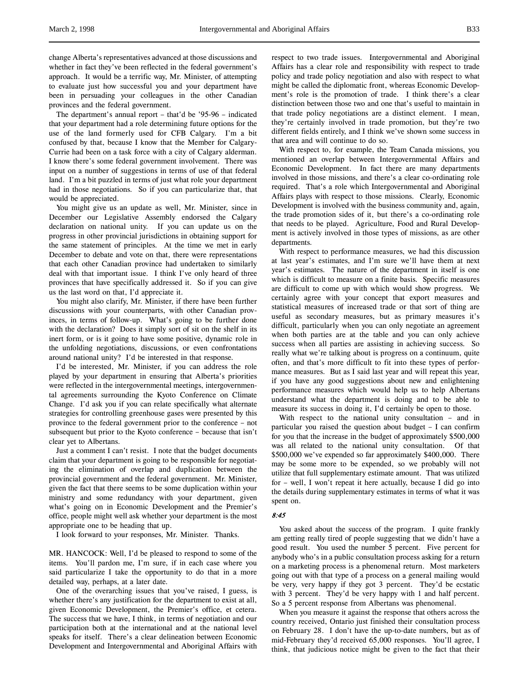change Alberta's representatives advanced at those discussions and whether in fact they've been reflected in the federal government's approach. It would be a terrific way, Mr. Minister, of attempting to evaluate just how successful you and your department have been in persuading your colleagues in the other Canadian provinces and the federal government.

The department's annual report – that'd be '95-96 – indicated that your department had a role determining future options for the use of the land formerly used for CFB Calgary. I'm a bit confused by that, because I know that the Member for Calgary-Currie had been on a task force with a city of Calgary alderman. I know there's some federal government involvement. There was input on a number of suggestions in terms of use of that federal land. I'm a bit puzzled in terms of just what role your department had in those negotiations. So if you can particularize that, that would be appreciated.

You might give us an update as well, Mr. Minister, since in December our Legislative Assembly endorsed the Calgary declaration on national unity. If you can update us on the progress in other provincial jurisdictions in obtaining support for the same statement of principles. At the time we met in early December to debate and vote on that, there were representations that each other Canadian province had undertaken to similarly deal with that important issue. I think I've only heard of three provinces that have specifically addressed it. So if you can give us the last word on that, I'd appreciate it.

You might also clarify, Mr. Minister, if there have been further discussions with your counterparts, with other Canadian provinces, in terms of follow-up. What's going to be further done with the declaration? Does it simply sort of sit on the shelf in its inert form, or is it going to have some positive, dynamic role in the unfolding negotiations, discussions, or even confrontations around national unity? I'd be interested in that response.

I'd be interested, Mr. Minister, if you can address the role played by your department in ensuring that Alberta's priorities were reflected in the intergovernmental meetings, intergovernmental agreements surrounding the Kyoto Conference on Climate Change. I'd ask you if you can relate specifically what alternate strategies for controlling greenhouse gases were presented by this province to the federal government prior to the conference – not subsequent but prior to the Kyoto conference – because that isn't clear yet to Albertans.

Just a comment I can't resist. I note that the budget documents claim that your department is going to be responsible for negotiating the elimination of overlap and duplication between the provincial government and the federal government. Mr. Minister, given the fact that there seems to be some duplication within your ministry and some redundancy with your department, given what's going on in Economic Development and the Premier's office, people might well ask whether your department is the most appropriate one to be heading that up.

I look forward to your responses, Mr. Minister. Thanks.

MR. HANCOCK: Well, I'd be pleased to respond to some of the items. You'll pardon me, I'm sure, if in each case where you said particularize I take the opportunity to do that in a more detailed way, perhaps, at a later date.

One of the overarching issues that you've raised, I guess, is whether there's any justification for the department to exist at all, given Economic Development, the Premier's office, et cetera. The success that we have, I think, in terms of negotiation and our participation both at the international and at the national level speaks for itself. There's a clear delineation between Economic Development and Intergovernmental and Aboriginal Affairs with

respect to two trade issues. Intergovernmental and Aboriginal Affairs has a clear role and responsibility with respect to trade policy and trade policy negotiation and also with respect to what might be called the diplomatic front, whereas Economic Development's role is the promotion of trade. I think there's a clear distinction between those two and one that's useful to maintain in that trade policy negotiations are a distinct element. I mean, they're certainly involved in trade promotion, but they're two different fields entirely, and I think we've shown some success in that area and will continue to do so.

With respect to, for example, the Team Canada missions, you mentioned an overlap between Intergovernmental Affairs and Economic Development. In fact there are many departments involved in those missions, and there's a clear co-ordinating role required. That's a role which Intergovernmental and Aboriginal Affairs plays with respect to those missions. Clearly, Economic Development is involved with the business community and, again, the trade promotion sides of it, but there's a co-ordinating role that needs to be played. Agriculture, Food and Rural Development is actively involved in those types of missions, as are other departments.

With respect to performance measures, we had this discussion at last year's estimates, and I'm sure we'll have them at next year's estimates. The nature of the department in itself is one which is difficult to measure on a finite basis. Specific measures are difficult to come up with which would show progress. We certainly agree with your concept that export measures and statistical measures of increased trade or that sort of thing are useful as secondary measures, but as primary measures it's difficult, particularly when you can only negotiate an agreement when both parties are at the table and you can only achieve success when all parties are assisting in achieving success. So really what we're talking about is progress on a continuum, quite often, and that's more difficult to fit into these types of performance measures. But as I said last year and will repeat this year, if you have any good suggestions about new and enlightening performance measures which would help us to help Albertans understand what the department is doing and to be able to measure its success in doing it, I'd certainly be open to those.

With respect to the national unity consultation – and in particular you raised the question about budget – I can confirm for you that the increase in the budget of approximately \$500,000 was all related to the national unity consultation. Of that \$500,000 we've expended so far approximately \$400,000. There may be some more to be expended, so we probably will not utilize that full supplementary estimate amount. That was utilized for – well, I won't repeat it here actually, because I did go into the details during supplementary estimates in terms of what it was spent on.

### 8:45

You asked about the success of the program. I quite frankly am getting really tired of people suggesting that we didn't have a good result. You used the number 5 percent. Five percent for anybody who's in a public consultation process asking for a return on a marketing process is a phenomenal return. Most marketers going out with that type of a process on a general mailing would be very, very happy if they got 3 percent. They'd be ecstatic with 3 percent. They'd be very happy with 1 and half percent. So a 5 percent response from Albertans was phenomenal.

When you measure it against the response that others across the country received, Ontario just finished their consultation process on February 28. I don't have the up-to-date numbers, but as of mid-February they'd received 65,000 responses. You'll agree, I think, that judicious notice might be given to the fact that their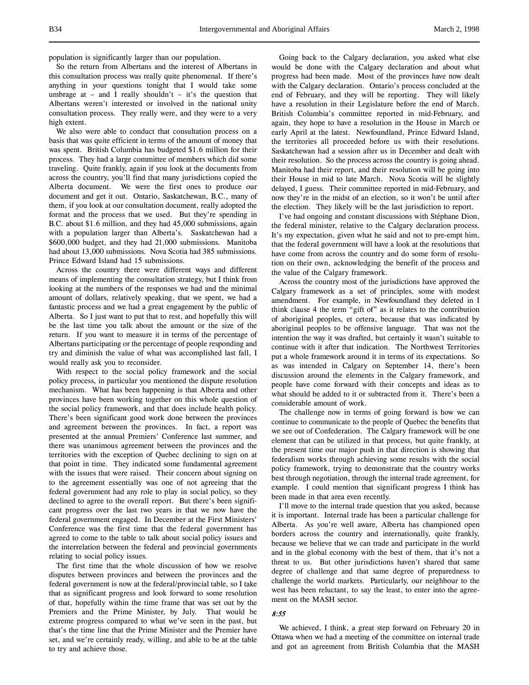population is significantly larger than our population.

So the return from Albertans and the interest of Albertans in this consultation process was really quite phenomenal. If there's anything in your questions tonight that I would take some umbrage at – and I really shouldn't – it's the question that Albertans weren't interested or involved in the national unity consultation process. They really were, and they were to a very high extent.

We also were able to conduct that consultation process on a basis that was quite efficient in terms of the amount of money that was spent. British Columbia has budgeted \$1.6 million for their process. They had a large committee of members which did some traveling. Quite frankly, again if you look at the documents from across the country, you'll find that many jurisdictions copied the Alberta document. We were the first ones to produce our document and get it out. Ontario, Saskatchewan, B.C., many of them, if you look at our consultation document, really adopted the format and the process that we used. But they're spending in B.C. about \$1.6 million, and they had 45,000 submissions, again with a population larger than Alberta's. Saskatchewan had a \$600,000 budget, and they had 21,000 submissions. Manitoba had about 13,000 submissions. Nova Scotia had 385 submissions. Prince Edward Island had 15 submissions.

Across the country there were different ways and different means of implementing the consultation strategy, but I think from looking at the numbers of the responses we had and the minimal amount of dollars, relatively speaking, that we spent, we had a fantastic process and we had a great engagement by the public of Alberta. So I just want to put that to rest, and hopefully this will be the last time you talk about the amount or the size of the return. If you want to measure it in terms of the percentage of Albertans participating or the percentage of people responding and try and diminish the value of what was accomplished last fall, I would really ask you to reconsider.

With respect to the social policy framework and the social policy process, in particular you mentioned the dispute resolution mechanism. What has been happening is that Alberta and other provinces have been working together on this whole question of the social policy framework, and that does include health policy. There's been significant good work done between the provinces and agreement between the provinces. In fact, a report was presented at the annual Premiers' Conference last summer, and there was unanimous agreement between the provinces and the territories with the exception of Quebec declining to sign on at that point in time. They indicated some fundamental agreement with the issues that were raised. Their concern about signing on to the agreement essentially was one of not agreeing that the federal government had any role to play in social policy, so they declined to agree to the overall report. But there's been significant progress over the last two years in that we now have the federal government engaged. In December at the First Ministers' Conference was the first time that the federal government has agreed to come to the table to talk about social policy issues and the interrelation between the federal and provincial governments relating to social policy issues.

The first time that the whole discussion of how we resolve disputes between provinces and between the provinces and the federal government is now at the federal/provincial table, so I take that as significant progress and look forward to some resolution of that, hopefully within the time frame that was set out by the Premiers and the Prime Minister, by July. That would be extreme progress compared to what we've seen in the past, but that's the time line that the Prime Minister and the Premier have set, and we're certainly ready, willing, and able to be at the table to try and achieve those.

Going back to the Calgary declaration, you asked what else would be done with the Calgary declaration and about what progress had been made. Most of the provinces have now dealt with the Calgary declaration. Ontario's process concluded at the end of February, and they will be reporting. They will likely have a resolution in their Legislature before the end of March. British Columbia's committee reported in mid-February, and again, they hope to have a resolution in the House in March or early April at the latest. Newfoundland, Prince Edward Island, the territories all proceeded before us with their resolutions. Saskatchewan had a session after us in December and dealt with their resolution. So the process across the country is going ahead. Manitoba had their report, and their resolution will be going into their House in mid to late March. Nova Scotia will be slightly delayed, I guess. Their committee reported in mid-February, and now they're in the midst of an election, so it won't be until after the election. They likely will be the last jurisdiction to report.

I've had ongoing and constant discussions with Stéphane Dion, the federal minister, relative to the Calgary declaration process. It's my expectation, given what he said and not to pre-empt him, that the federal government will have a look at the resolutions that have come from across the country and do some form of resolution on their own, acknowledging the benefit of the process and the value of the Calgary framework.

Across the country most of the jurisdictions have approved the Calgary framework as a set of principles, some with modest amendment. For example, in Newfoundland they deleted in I think clause 4 the term "gift of" as it relates to the contribution of aboriginal peoples, et cetera, because that was indicated by aboriginal peoples to be offensive language. That was not the intention the way it was drafted, but certainly it wasn't suitable to continue with it after that indication. The Northwest Territories put a whole framework around it in terms of its expectations. So as was intended in Calgary on September 14, there's been discussion around the elements in the Calgary framework, and people have come forward with their concepts and ideas as to what should be added to it or subtracted from it. There's been a considerable amount of work.

The challenge now in terms of going forward is how we can continue to communicate to the people of Quebec the benefits that we see out of Confederation. The Calgary framework will be one element that can be utilized in that process, but quite frankly, at the present time our major push in that direction is showing that federalism works through achieving some results with the social policy framework, trying to demonstrate that the country works best through negotiation, through the internal trade agreement, for example. I could mention that significant progress I think has been made in that area even recently.

I'll move to the internal trade question that you asked, because it is important. Internal trade has been a particular challenge for Alberta. As you're well aware, Alberta has championed open borders across the country and internationally, quite frankly, because we believe that we can trade and participate in the world and in the global economy with the best of them, that it's not a threat to us. But other jurisdictions haven't shared that same degree of challenge and that same degree of preparedness to challenge the world markets. Particularly, our neighbour to the west has been reluctant, to say the least, to enter into the agreement on the MASH sector.

# 8:55

We achieved, I think, a great step forward on February 20 in Ottawa when we had a meeting of the committee on internal trade and got an agreement from British Columbia that the MASH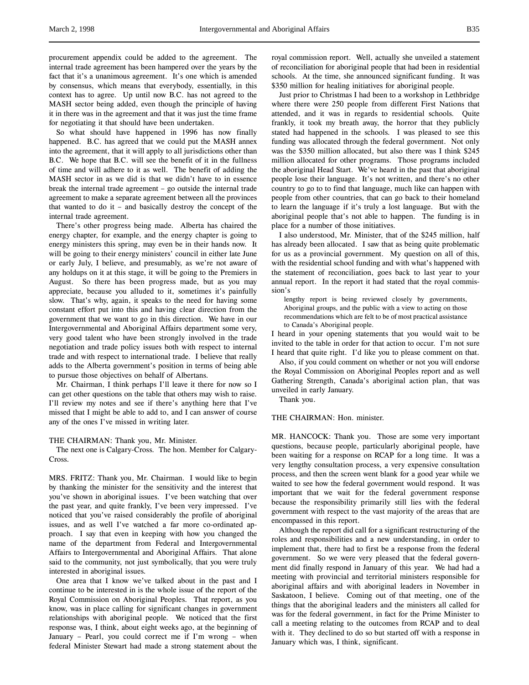procurement appendix could be added to the agreement. The internal trade agreement has been hampered over the years by the fact that it's a unanimous agreement. It's one which is amended by consensus, which means that everybody, essentially, in this context has to agree. Up until now B.C. has not agreed to the MASH sector being added, even though the principle of having it in there was in the agreement and that it was just the time frame for negotiating it that should have been undertaken.

So what should have happened in 1996 has now finally happened. B.C. has agreed that we could put the MASH annex into the agreement, that it will apply to all jurisdictions other than B.C. We hope that B.C. will see the benefit of it in the fullness of time and will adhere to it as well. The benefit of adding the MASH sector in as we did is that we didn't have to in essence break the internal trade agreement – go outside the internal trade agreement to make a separate agreement between all the provinces that wanted to do it – and basically destroy the concept of the internal trade agreement.

There's other progress being made. Alberta has chaired the energy chapter, for example, and the energy chapter is going to energy ministers this spring, may even be in their hands now. It will be going to their energy ministers' council in either late June or early July, I believe, and presumably, as we're not aware of any holdups on it at this stage, it will be going to the Premiers in August. So there has been progress made, but as you may appreciate, because you alluded to it, sometimes it's painfully slow. That's why, again, it speaks to the need for having some constant effort put into this and having clear direction from the government that we want to go in this direction. We have in our Intergovernmental and Aboriginal Affairs department some very, very good talent who have been strongly involved in the trade negotiation and trade policy issues both with respect to internal trade and with respect to international trade. I believe that really adds to the Alberta government's position in terms of being able to pursue those objectives on behalf of Albertans.

Mr. Chairman, I think perhaps I'll leave it there for now so I can get other questions on the table that others may wish to raise. I'll review my notes and see if there's anything here that I've missed that I might be able to add to, and I can answer of course any of the ones I've missed in writing later.

### THE CHAIRMAN: Thank you, Mr. Minister.

The next one is Calgary-Cross. The hon. Member for Calgary-Cross.

MRS. FRITZ: Thank you, Mr. Chairman. I would like to begin by thanking the minister for the sensitivity and the interest that you've shown in aboriginal issues. I've been watching that over the past year, and quite frankly, I've been very impressed. I've noticed that you've raised considerably the profile of aboriginal issues, and as well I've watched a far more co-ordinated approach. I say that even in keeping with how you changed the name of the department from Federal and Intergovernmental Affairs to Intergovernmental and Aboriginal Affairs. That alone said to the community, not just symbolically, that you were truly interested in aboriginal issues.

One area that I know we've talked about in the past and I continue to be interested in is the whole issue of the report of the Royal Commission on Aboriginal Peoples. That report, as you know, was in place calling for significant changes in government relationships with aboriginal people. We noticed that the first response was, I think, about eight weeks ago, at the beginning of January – Pearl, you could correct me if I'm wrong – when federal Minister Stewart had made a strong statement about the

royal commission report. Well, actually she unveiled a statement of reconciliation for aboriginal people that had been in residential schools. At the time, she announced significant funding. It was \$350 million for healing initiatives for aboriginal people.

Just prior to Christmas I had been to a workshop in Lethbridge where there were 250 people from different First Nations that attended, and it was in regards to residential schools. Quite frankly, it took my breath away, the horror that they publicly stated had happened in the schools. I was pleased to see this funding was allocated through the federal government. Not only was the \$350 million allocated, but also there was I think \$245 million allocated for other programs. Those programs included the aboriginal Head Start. We've heard in the past that aboriginal people lose their language. It's not written, and there's no other country to go to to find that language, much like can happen with people from other countries, that can go back to their homeland to learn the language if it's truly a lost language. But with the aboriginal people that's not able to happen. The funding is in place for a number of those initiatives.

I also understood, Mr. Minister, that of the \$245 million, half has already been allocated. I saw that as being quite problematic for us as a provincial government. My question on all of this, with the residential school funding and with what's happened with the statement of reconciliation, goes back to last year to your annual report. In the report it had stated that the royal commission's

lengthy report is being reviewed closely by governments, Aboriginal groups, and the public with a view to acting on those recommendations which are felt to be of most practical assistance to Canada's Aboriginal people.

I heard in your opening statements that you would wait to be invited to the table in order for that action to occur. I'm not sure I heard that quite right. I'd like you to please comment on that.

Also, if you could comment on whether or not you will endorse the Royal Commission on Aboriginal Peoples report and as well Gathering Strength, Canada's aboriginal action plan, that was unveiled in early January.

Thank you.

## THE CHAIRMAN: Hon. minister.

MR. HANCOCK: Thank you. Those are some very important questions, because people, particularly aboriginal people, have been waiting for a response on RCAP for a long time. It was a very lengthy consultation process, a very expensive consultation process, and then the screen went blank for a good year while we waited to see how the federal government would respond. It was important that we wait for the federal government response because the responsibility primarily still lies with the federal government with respect to the vast majority of the areas that are encompassed in this report.

Although the report did call for a significant restructuring of the roles and responsibilities and a new understanding, in order to implement that, there had to first be a response from the federal government. So we were very pleased that the federal government did finally respond in January of this year. We had had a meeting with provincial and territorial ministers responsible for aboriginal affairs and with aboriginal leaders in November in Saskatoon, I believe. Coming out of that meeting, one of the things that the aboriginal leaders and the ministers all called for was for the federal government, in fact for the Prime Minister to call a meeting relating to the outcomes from RCAP and to deal with it. They declined to do so but started off with a response in January which was, I think, significant.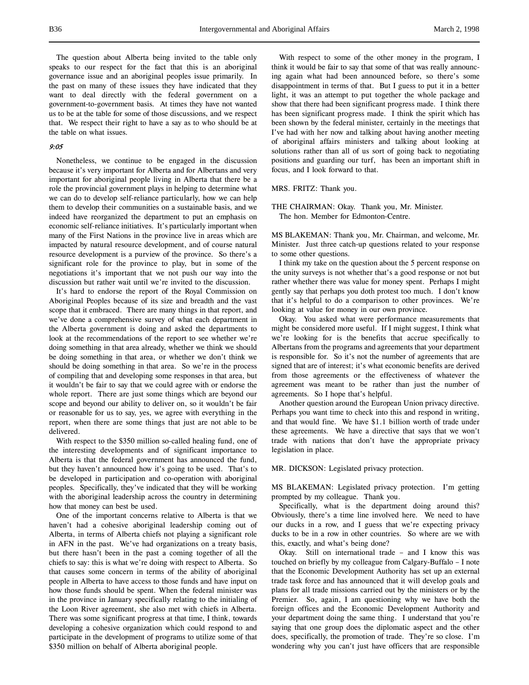The question about Alberta being invited to the table only speaks to our respect for the fact that this is an aboriginal governance issue and an aboriginal peoples issue primarily. In the past on many of these issues they have indicated that they want to deal directly with the federal government on a government-to-government basis. At times they have not wanted us to be at the table for some of those discussions, and we respect that. We respect their right to have a say as to who should be at the table on what issues.

## 9:05

Nonetheless, we continue to be engaged in the discussion because it's very important for Alberta and for Albertans and very important for aboriginal people living in Alberta that there be a role the provincial government plays in helping to determine what we can do to develop self-reliance particularly, how we can help them to develop their communities on a sustainable basis, and we indeed have reorganized the department to put an emphasis on economic self-reliance initiatives. It's particularly important when many of the First Nations in the province live in areas which are impacted by natural resource development, and of course natural resource development is a purview of the province. So there's a significant role for the province to play, but in some of the negotiations it's important that we not push our way into the discussion but rather wait until we're invited to the discussion.

It's hard to endorse the report of the Royal Commission on Aboriginal Peoples because of its size and breadth and the vast scope that it embraced. There are many things in that report, and we've done a comprehensive survey of what each department in the Alberta government is doing and asked the departments to look at the recommendations of the report to see whether we're doing something in that area already, whether we think we should be doing something in that area, or whether we don't think we should be doing something in that area. So we're in the process of compiling that and developing some responses in that area, but it wouldn't be fair to say that we could agree with or endorse the whole report. There are just some things which are beyond our scope and beyond our ability to deliver on, so it wouldn't be fair or reasonable for us to say, yes, we agree with everything in the report, when there are some things that just are not able to be delivered.

With respect to the \$350 million so-called healing fund, one of the interesting developments and of significant importance to Alberta is that the federal government has announced the fund, but they haven't announced how it's going to be used. That's to be developed in participation and co-operation with aboriginal peoples. Specifically, they've indicated that they will be working with the aboriginal leadership across the country in determining how that money can best be used.

One of the important concerns relative to Alberta is that we haven't had a cohesive aboriginal leadership coming out of Alberta, in terms of Alberta chiefs not playing a significant role in AFN in the past. We've had organizations on a treaty basis, but there hasn't been in the past a coming together of all the chiefs to say: this is what we're doing with respect to Alberta. So that causes some concern in terms of the ability of aboriginal people in Alberta to have access to those funds and have input on how those funds should be spent. When the federal minister was in the province in January specifically relating to the initialing of the Loon River agreement, she also met with chiefs in Alberta. There was some significant progress at that time, I think, towards developing a cohesive organization which could respond to and participate in the development of programs to utilize some of that \$350 million on behalf of Alberta aboriginal people.

With respect to some of the other money in the program, I think it would be fair to say that some of that was really announcing again what had been announced before, so there's some disappointment in terms of that. But I guess to put it in a better light, it was an attempt to put together the whole package and show that there had been significant progress made. I think there has been significant progress made. I think the spirit which has been shown by the federal minister, certainly in the meetings that I've had with her now and talking about having another meeting of aboriginal affairs ministers and talking about looking at solutions rather than all of us sort of going back to negotiating positions and guarding our turf, has been an important shift in focus, and I look forward to that.

#### MRS. FRITZ: Thank you.

THE CHAIRMAN: Okay. Thank you, Mr. Minister. The hon. Member for Edmonton-Centre.

MS BLAKEMAN: Thank you, Mr. Chairman, and welcome, Mr. Minister. Just three catch-up questions related to your response to some other questions.

I think my take on the question about the 5 percent response on the unity surveys is not whether that's a good response or not but rather whether there was value for money spent. Perhaps I might gently say that perhaps you doth protest too much. I don't know that it's helpful to do a comparison to other provinces. We're looking at value for money in our own province.

Okay. You asked what were performance measurements that might be considered more useful. If I might suggest, I think what we're looking for is the benefits that accrue specifically to Albertans from the programs and agreements that your department is responsible for. So it's not the number of agreements that are signed that are of interest; it's what economic benefits are derived from those agreements or the effectiveness of whatever the agreement was meant to be rather than just the number of agreements. So I hope that's helpful.

Another question around the European Union privacy directive. Perhaps you want time to check into this and respond in writing, and that would fine. We have \$1.1 billion worth of trade under these agreements. We have a directive that says that we won't trade with nations that don't have the appropriate privacy legislation in place.

### MR. DICKSON: Legislated privacy protection.

MS BLAKEMAN: Legislated privacy protection. I'm getting prompted by my colleague. Thank you.

Specifically, what is the department doing around this? Obviously, there's a time line involved here. We need to have our ducks in a row, and I guess that we're expecting privacy ducks to be in a row in other countries. So where are we with this, exactly, and what's being done?

Okay. Still on international trade – and I know this was touched on briefly by my colleague from Calgary-Buffalo – I note that the Economic Development Authority has set up an external trade task force and has announced that it will develop goals and plans for all trade missions carried out by the ministers or by the Premier. So, again, I am questioning why we have both the foreign offices and the Economic Development Authority and your department doing the same thing. I understand that you're saying that one group does the diplomatic aspect and the other does, specifically, the promotion of trade. They're so close. I'm wondering why you can't just have officers that are responsible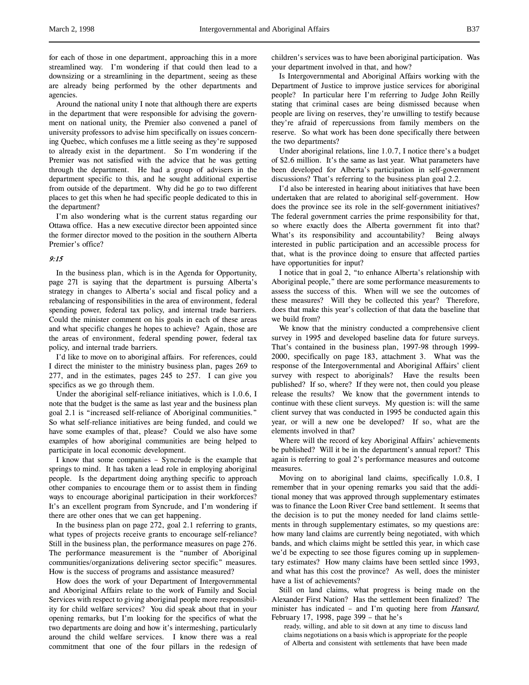for each of those in one department, approaching this in a more streamlined way. I'm wondering if that could then lead to a downsizing or a streamlining in the department, seeing as these are already being performed by the other departments and agencies.

Around the national unity I note that although there are experts in the department that were responsible for advising the government on national unity, the Premier also convened a panel of university professors to advise him specifically on issues concerning Quebec, which confuses me a little seeing as they're supposed to already exist in the department. So I'm wondering if the Premier was not satisfied with the advice that he was getting through the department. He had a group of advisers in the department specific to this, and he sought additional expertise from outside of the department. Why did he go to two different places to get this when he had specific people dedicated to this in the department?

I'm also wondering what is the current status regarding our Ottawa office. Has a new executive director been appointed since the former director moved to the position in the southern Alberta Premier's office?

### 9:15

In the business plan, which is in the Agenda for Opportunity, page 271 is saying that the department is pursuing Alberta's strategy in changes to Alberta's social and fiscal policy and a rebalancing of responsibilities in the area of environment, federal spending power, federal tax policy, and internal trade barriers. Could the minister comment on his goals in each of these areas and what specific changes he hopes to achieve? Again, those are the areas of environment, federal spending power, federal tax policy, and internal trade barriers.

I'd like to move on to aboriginal affairs. For references, could I direct the minister to the ministry business plan, pages 269 to 277, and in the estimates, pages 245 to 257. I can give you specifics as we go through them.

Under the aboriginal self-reliance initiatives, which is 1.0.6, I note that the budget is the same as last year and the business plan goal 2.1 is "increased self-reliance of Aboriginal communities." So what self-reliance initiatives are being funded, and could we have some examples of that, please? Could we also have some examples of how aboriginal communities are being helped to participate in local economic development.

I know that some companies – Syncrude is the example that springs to mind. It has taken a lead role in employing aboriginal people. Is the department doing anything specific to approach other companies to encourage them or to assist them in finding ways to encourage aboriginal participation in their workforces? It's an excellent program from Syncrude, and I'm wondering if there are other ones that we can get happening.

In the business plan on page 272, goal 2.1 referring to grants, what types of projects receive grants to encourage self-reliance? Still in the business plan, the performance measures on page 276. The performance measurement is the "number of Aboriginal communities/organizations delivering sector specific" measures. How is the success of programs and assistance measured?

How does the work of your Department of Intergovernmental and Aboriginal Affairs relate to the work of Family and Social Services with respect to giving aboriginal people more responsibility for child welfare services? You did speak about that in your opening remarks, but I'm looking for the specifics of what the two departments are doing and how it's intermeshing, particularly around the child welfare services. I know there was a real commitment that one of the four pillars in the redesign of children's services was to have been aboriginal participation. Was your department involved in that, and how?

Is Intergovernmental and Aboriginal Affairs working with the Department of Justice to improve justice services for aboriginal people? In particular here I'm referring to Judge John Reilly stating that criminal cases are being dismissed because when people are living on reserves, they're unwilling to testify because they're afraid of repercussions from family members on the reserve. So what work has been done specifically there between the two departments?

Under aboriginal relations, line 1.0.7, I notice there's a budget of \$2.6 million. It's the same as last year. What parameters have been developed for Alberta's participation in self-government discussions? That's referring to the business plan goal 2.2.

I'd also be interested in hearing about initiatives that have been undertaken that are related to aboriginal self-government. How does the province see its role in the self-government initiatives? The federal government carries the prime responsibility for that, so where exactly does the Alberta government fit into that? What's its responsibility and accountability? Being always interested in public participation and an accessible process for that, what is the province doing to ensure that affected parties have opportunities for input?

I notice that in goal 2, "to enhance Alberta's relationship with Aboriginal people," there are some performance measurements to assess the success of this. When will we see the outcomes of these measures? Will they be collected this year? Therefore, does that make this year's collection of that data the baseline that we build from?

We know that the ministry conducted a comprehensive client survey in 1995 and developed baseline data for future surveys. That's contained in the business plan, 1997-98 through 1999- 2000, specifically on page 183, attachment 3. What was the response of the Intergovernmental and Aboriginal Affairs' client survey with respect to aboriginals? Have the results been published? If so, where? If they were not, then could you please release the results? We know that the government intends to continue with these client surveys. My question is: will the same client survey that was conducted in 1995 be conducted again this year, or will a new one be developed? If so, what are the elements involved in that?

Where will the record of key Aboriginal Affairs' achievements be published? Will it be in the department's annual report? This again is referring to goal 2's performance measures and outcome measures.

Moving on to aboriginal land claims, specifically 1.0.8, I remember that in your opening remarks you said that the additional money that was approved through supplementary estimates was to finance the Loon River Cree band settlement. It seems that the decision is to put the money needed for land claims settlements in through supplementary estimates, so my questions are: how many land claims are currently being negotiated, with which bands, and which claims might be settled this year, in which case we'd be expecting to see those figures coming up in supplementary estimates? How many claims have been settled since 1993, and what has this cost the province? As well, does the minister have a list of achievements?

Still on land claims, what progress is being made on the Alexander First Nation? Has the settlement been finalized? The minister has indicated – and I'm quoting here from Hansard, February 17, 1998, page 399 – that he's

ready, willing, and able to sit down at any time to discuss land claims negotiations on a basis which is appropriate for the people of Alberta and consistent with settlements that have been made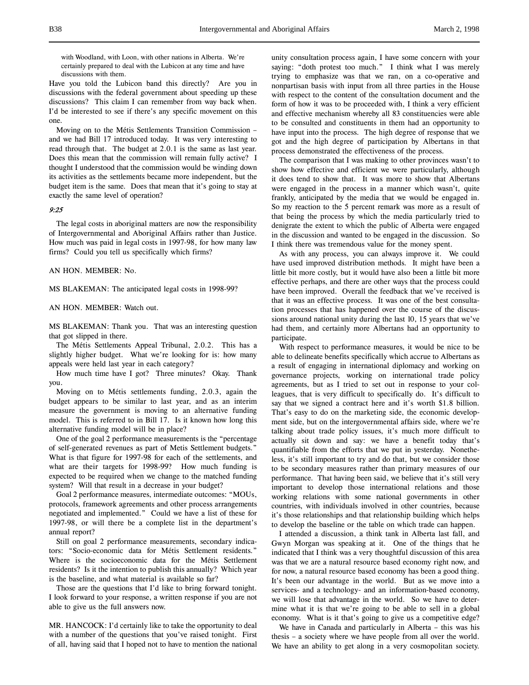with Woodland, with Loon, with other nations in Alberta. We're certainly prepared to deal with the Lubicon at any time and have discussions with them.

Have you told the Lubicon band this directly? Are you in discussions with the federal government about speeding up these discussions? This claim I can remember from way back when. I'd be interested to see if there's any specific movement on this one.

Moving on to the Métis Settlements Transition Commission – and we had Bill 17 introduced today. It was very interesting to read through that. The budget at 2.0.1 is the same as last year. Does this mean that the commission will remain fully active? I thought I understood that the commission would be winding down its activities as the settlements became more independent, but the budget item is the same. Does that mean that it's going to stay at exactly the same level of operation?

## 9:25

The legal costs in aboriginal matters are now the responsibility of Intergovernmental and Aboriginal Affairs rather than Justice. How much was paid in legal costs in 1997-98, for how many law firms? Could you tell us specifically which firms?

AN HON. MEMBER: No.

MS BLAKEMAN: The anticipated legal costs in 1998-99?

## AN HON. MEMBER: Watch out.

MS BLAKEMAN: Thank you. That was an interesting question that got slipped in there.

The Métis Settlements Appeal Tribunal, 2.0.2. This has a slightly higher budget. What we're looking for is: how many appeals were held last year in each category?

How much time have I got? Three minutes? Okay. Thank you.

Moving on to Métis settlements funding, 2.0.3, again the budget appears to be similar to last year, and as an interim measure the government is moving to an alternative funding model. This is referred to in Bill 17. Is it known how long this alternative funding model will be in place?

One of the goal 2 performance measurements is the "percentage of self-generated revenues as part of Metis Settlement budgets." What is that figure for 1997-98 for each of the settlements, and what are their targets for 1998-99? How much funding is expected to be required when we change to the matched funding system? Will that result in a decrease in your budget?

Goal 2 performance measures, intermediate outcomes: "MOUs, protocols, framework agreements and other process arrangements negotiated and implemented." Could we have a list of these for 1997-98, or will there be a complete list in the department's annual report?

Still on goal 2 performance measurements, secondary indicators: "Socio-economic data for Métis Settlement residents." Where is the socioeconomic data for the Métis Settlement residents? Is it the intention to publish this annually? Which year is the baseline, and what material is available so far?

Those are the questions that I'd like to bring forward tonight. I look forward to your response, a written response if you are not able to give us the full answers now.

MR. HANCOCK: I'd certainly like to take the opportunity to deal with a number of the questions that you've raised tonight. First of all, having said that I hoped not to have to mention the national unity consultation process again, I have some concern with your saying: "doth protest too much." I think what I was merely trying to emphasize was that we ran, on a co-operative and nonpartisan basis with input from all three parties in the House with respect to the content of the consultation document and the form of how it was to be proceeded with, I think a very efficient and effective mechanism whereby all 83 constituencies were able to be consulted and constituents in them had an opportunity to have input into the process. The high degree of response that we got and the high degree of participation by Albertans in that process demonstrated the effectiveness of the process.

The comparison that I was making to other provinces wasn't to show how effective and efficient we were particularly, although it does tend to show that. It was more to show that Albertans were engaged in the process in a manner which wasn't, quite frankly, anticipated by the media that we would be engaged in. So my reaction to the 5 percent remark was more as a result of that being the process by which the media particularly tried to denigrate the extent to which the public of Alberta were engaged in the discussion and wanted to be engaged in the discussion. So I think there was tremendous value for the money spent.

As with any process, you can always improve it. We could have used improved distribution methods. It might have been a little bit more costly, but it would have also been a little bit more effective perhaps, and there are other ways that the process could have been improved. Overall the feedback that we've received is that it was an effective process. It was one of the best consultation processes that has happened over the course of the discussions around national unity during the last 10, 15 years that we've had them, and certainly more Albertans had an opportunity to participate.

With respect to performance measures, it would be nice to be able to delineate benefits specifically which accrue to Albertans as a result of engaging in international diplomacy and working on governance projects, working on international trade policy agreements, but as I tried to set out in response to your colleagues, that is very difficult to specifically do. It's difficult to say that we signed a contract here and it's worth \$1.8 billion. That's easy to do on the marketing side, the economic development side, but on the intergovernmental affairs side, where we're talking about trade policy issues, it's much more difficult to actually sit down and say: we have a benefit today that's quantifiable from the efforts that we put in yesterday. Nonetheless, it's still important to try and do that, but we consider those to be secondary measures rather than primary measures of our performance. That having been said, we believe that it's still very important to develop those international relations and those working relations with some national governments in other countries, with individuals involved in other countries, because it's those relationships and that relationship building which helps to develop the baseline or the table on which trade can happen.

I attended a discussion, a think tank in Alberta last fall, and Gwyn Morgan was speaking at it. One of the things that he indicated that I think was a very thoughtful discussion of this area was that we are a natural resource based economy right now, and for now, a natural resource based economy has been a good thing. It's been our advantage in the world. But as we move into a services- and a technology- and an information-based economy, we will lose that advantage in the world. So we have to determine what it is that we're going to be able to sell in a global economy. What is it that's going to give us a competitive edge?

We have in Canada and particularly in Alberta – this was his thesis – a society where we have people from all over the world. We have an ability to get along in a very cosmopolitan society.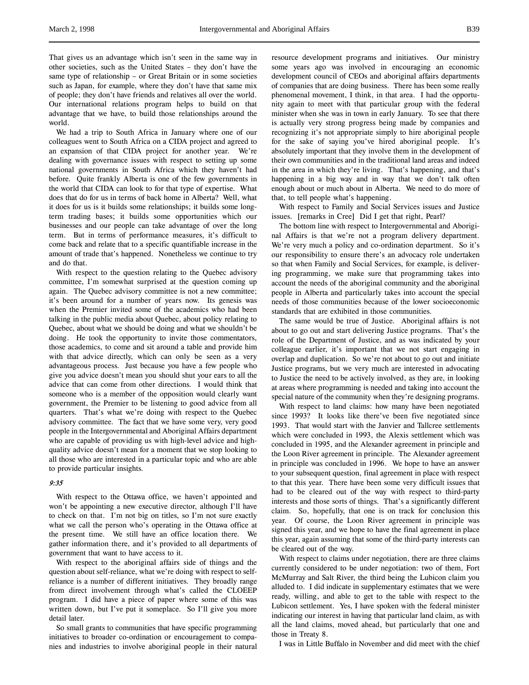That gives us an advantage which isn't seen in the same way in other societies, such as the United States – they don't have the same type of relationship – or Great Britain or in some societies such as Japan, for example, where they don't have that same mix of people; they don't have friends and relatives all over the world. Our international relations program helps to build on that advantage that we have, to build those relationships around the world.

We had a trip to South Africa in January where one of our colleagues went to South Africa on a CIDA project and agreed to an expansion of that CIDA project for another year. We're dealing with governance issues with respect to setting up some national governments in South Africa which they haven't had before. Quite frankly Alberta is one of the few governments in the world that CIDA can look to for that type of expertise. What does that do for us in terms of back home in Alberta? Well, what it does for us is it builds some relationships; it builds some longterm trading bases; it builds some opportunities which our businesses and our people can take advantage of over the long term. But in terms of performance measures, it's difficult to come back and relate that to a specific quantifiable increase in the amount of trade that's happened. Nonetheless we continue to try and do that.

With respect to the question relating to the Quebec advisory committee, I'm somewhat surprised at the question coming up again. The Quebec advisory committee is not a new committee; it's been around for a number of years now. Its genesis was when the Premier invited some of the academics who had been talking in the public media about Quebec, about policy relating to Quebec, about what we should be doing and what we shouldn't be doing. He took the opportunity to invite those commentators, those academics, to come and sit around a table and provide him with that advice directly, which can only be seen as a very advantageous process. Just because you have a few people who give you advice doesn't mean you should shut your ears to all the advice that can come from other directions. I would think that someone who is a member of the opposition would clearly want government, the Premier to be listening to good advice from all quarters. That's what we're doing with respect to the Quebec advisory committee. The fact that we have some very, very good people in the Intergovernmental and Aboriginal Affairs department who are capable of providing us with high-level advice and highquality advice doesn't mean for a moment that we stop looking to all those who are interested in a particular topic and who are able to provide particular insights.

## 9:35

With respect to the Ottawa office, we haven't appointed and won't be appointing a new executive director, although I'll have to check on that. I'm not big on titles, so I'm not sure exactly what we call the person who's operating in the Ottawa office at the present time. We still have an office location there. We gather information there, and it's provided to all departments of government that want to have access to it.

With respect to the aboriginal affairs side of things and the question about self-reliance, what we're doing with respect to selfreliance is a number of different initiatives. They broadly range from direct involvement through what's called the CLOEEP program. I did have a piece of paper where some of this was written down, but I've put it someplace. So I'll give you more detail later.

So small grants to communities that have specific programming initiatives to broader co-ordination or encouragement to companies and industries to involve aboriginal people in their natural resource development programs and initiatives. Our ministry some years ago was involved in encouraging an economic development council of CEOs and aboriginal affairs departments of companies that are doing business. There has been some really phenomenal movement, I think, in that area. I had the opportunity again to meet with that particular group with the federal minister when she was in town in early January. To see that there is actually very strong progress being made by companies and recognizing it's not appropriate simply to hire aboriginal people for the sake of saying you've hired aboriginal people. It's absolutely important that they involve them in the development of their own communities and in the traditional land areas and indeed in the area in which they're living. That's happening, and that's happening in a big way and in way that we don't talk often enough about or much about in Alberta. We need to do more of that, to tell people what's happening.

With respect to Family and Social Services issues and Justice issues. [remarks in Cree] Did I get that right, Pearl?

The bottom line with respect to Intergovernmental and Aboriginal Affairs is that we're not a program delivery department. We're very much a policy and co-ordination department. So it's our responsibility to ensure there's an advocacy role undertaken so that when Family and Social Services, for example, is delivering programming, we make sure that programming takes into account the needs of the aboriginal community and the aboriginal people in Alberta and particularly takes into account the special needs of those communities because of the lower socioeconomic standards that are exhibited in those communities.

The same would be true of Justice. Aboriginal affairs is not about to go out and start delivering Justice programs. That's the role of the Department of Justice, and as was indicated by your colleague earlier, it's important that we not start engaging in overlap and duplication. So we're not about to go out and initiate Justice programs, but we very much are interested in advocating to Justice the need to be actively involved, as they are, in looking at areas where programming is needed and taking into account the special nature of the community when they're designing programs.

With respect to land claims: how many have been negotiated since 1993? It looks like there've been five negotiated since 1993. That would start with the Janvier and Tallcree settlements which were concluded in 1993, the Alexis settlement which was concluded in 1995, and the Alexander agreement in principle and the Loon River agreement in principle. The Alexander agreement in principle was concluded in 1996. We hope to have an answer to your subsequent question, final agreement in place with respect to that this year. There have been some very difficult issues that had to be cleared out of the way with respect to third-party interests and those sorts of things. That's a significantly different claim. So, hopefully, that one is on track for conclusion this year. Of course, the Loon River agreement in principle was signed this year, and we hope to have the final agreement in place this year, again assuming that some of the third-party interests can be cleared out of the way.

With respect to claims under negotiation, there are three claims currently considered to be under negotiation: two of them, Fort McMurray and Salt River, the third being the Lubicon claim you alluded to. I did indicate in supplementary estimates that we were ready, willing, and able to get to the table with respect to the Lubicon settlement. Yes, I have spoken with the federal minister indicating our interest in having that particular land claim, as with all the land claims, moved ahead, but particularly that one and those in Treaty 8.

I was in Little Buffalo in November and did meet with the chief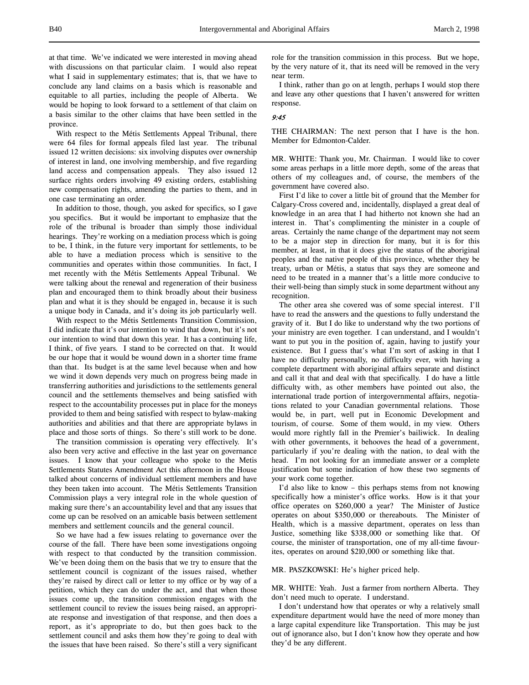at that time. We've indicated we were interested in moving ahead with discussions on that particular claim. I would also repeat what I said in supplementary estimates; that is, that we have to conclude any land claims on a basis which is reasonable and equitable to all parties, including the people of Alberta. We would be hoping to look forward to a settlement of that claim on a basis similar to the other claims that have been settled in the province.

With respect to the Métis Settlements Appeal Tribunal, there were 64 files for formal appeals filed last year. The tribunal issued 12 written decisions: six involving disputes over ownership of interest in land, one involving membership, and five regarding land access and compensation appeals. They also issued 12 surface rights orders involving 49 existing orders, establishing new compensation rights, amending the parties to them, and in one case terminating an order.

In addition to those, though, you asked for specifics, so I gave you specifics. But it would be important to emphasize that the role of the tribunal is broader than simply those individual hearings. They're working on a mediation process which is going to be, I think, in the future very important for settlements, to be able to have a mediation process which is sensitive to the communities and operates within those communities. In fact, I met recently with the Métis Settlements Appeal Tribunal. We were talking about the renewal and regeneration of their business plan and encouraged them to think broadly about their business plan and what it is they should be engaged in, because it is such a unique body in Canada, and it's doing its job particularly well.

With respect to the Métis Settlements Transition Commission, I did indicate that it's our intention to wind that down, but it's not our intention to wind that down this year. It has a continuing life, I think, of five years. I stand to be corrected on that. It would be our hope that it would be wound down in a shorter time frame than that. Its budget is at the same level because when and how we wind it down depends very much on progress being made in transferring authorities and jurisdictions to the settlements general council and the settlements themselves and being satisfied with respect to the accountability processes put in place for the moneys provided to them and being satisfied with respect to bylaw-making authorities and abilities and that there are appropriate bylaws in place and those sorts of things. So there's still work to be done.

The transition commission is operating very effectively. It's also been very active and effective in the last year on governance issues. I know that your colleague who spoke to the Metis Settlements Statutes Amendment Act this afternoon in the House talked about concerns of individual settlement members and have they been taken into account. The Métis Settlements Transition Commission plays a very integral role in the whole question of making sure there's an accountability level and that any issues that come up can be resolved on an amicable basis between settlement members and settlement councils and the general council.

So we have had a few issues relating to governance over the course of the fall. There have been some investigations ongoing with respect to that conducted by the transition commission. We've been doing them on the basis that we try to ensure that the settlement council is cognizant of the issues raised, whether they're raised by direct call or letter to my office or by way of a petition, which they can do under the act, and that when those issues come up, the transition commission engages with the settlement council to review the issues being raised, an appropriate response and investigation of that response, and then does a report, as it's appropriate to do, but then goes back to the settlement council and asks them how they're going to deal with the issues that have been raised. So there's still a very significant

role for the transition commission in this process. But we hope, by the very nature of it, that its need will be removed in the very near term.

I think, rather than go on at length, perhaps I would stop there and leave any other questions that I haven't answered for written response.

### 9:45

THE CHAIRMAN: The next person that I have is the hon. Member for Edmonton-Calder.

MR. WHITE: Thank you, Mr. Chairman. I would like to cover some areas perhaps in a little more depth, some of the areas that others of my colleagues and, of course, the members of the government have covered also.

First I'd like to cover a little bit of ground that the Member for Calgary-Cross covered and, incidentally, displayed a great deal of knowledge in an area that I had hitherto not known she had an interest in. That's complimenting the minister in a couple of areas. Certainly the name change of the department may not seem to be a major step in direction for many, but it is for this member, at least, in that it does give the status of the aboriginal peoples and the native people of this province, whether they be treaty, urban or Métis, a status that says they are someone and need to be treated in a manner that's a little more conducive to their well-being than simply stuck in some department without any recognition.

The other area she covered was of some special interest. I'll have to read the answers and the questions to fully understand the gravity of it. But I do like to understand why the two portions of your ministry are even together. I can understand, and I wouldn't want to put you in the position of, again, having to justify your existence. But I guess that's what I'm sort of asking in that I have no difficulty personally, no difficulty ever, with having a complete department with aboriginal affairs separate and distinct and call it that and deal with that specifically. I do have a little difficulty with, as other members have pointed out also, the international trade portion of intergovernmental affairs, negotiations related to your Canadian governmental relations. Those would be, in part, well put in Economic Development and tourism, of course. Some of them would, in my view. Others would more rightly fall in the Premier's bailiwick. In dealing with other governments, it behooves the head of a government, particularly if you're dealing with the nation, to deal with the head. I'm not looking for an immediate answer or a complete justification but some indication of how these two segments of your work come together.

I'd also like to know – this perhaps stems from not knowing specifically how a minister's office works. How is it that your office operates on \$260,000 a year? The Minister of Justice operates on about \$350,000 or thereabouts. The Minister of Health, which is a massive department, operates on less than Justice, something like \$338,000 or something like that. Of course, the minister of transportation, one of my all-time favourites, operates on around \$210,000 or something like that.

### MR. PASZKOWSKI: He's higher priced help.

MR. WHITE: Yeah. Just a farmer from northern Alberta. They don't need much to operate. I understand.

I don't understand how that operates or why a relatively small expenditure department would have the need of more money than a large capital expenditure like Transportation. This may be just out of ignorance also, but I don't know how they operate and how they'd be any different.